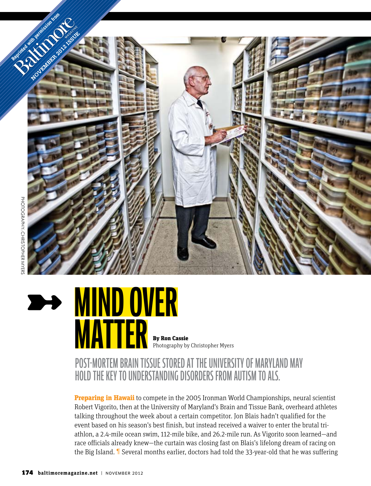



**matter** By Ron Cassie

Photography by Christopher Myers

## Post-mortem brain tissue Stored at the University of Maryland May hold the key to understanding disorders from autism to ALS.

**Preparing in Hawaii** to compete in the 2005 Ironman World Championships, neural scientist Robert Vigorito, then at the University of Maryland's Brain and Tissue Bank, overheard athletes talking throughout the week about a certain competitor. Jon Blais hadn't qualified for the event based on his season's best finish, but instead received a waiver to enter the brutal triathlon, a 2.4-mile ocean swim, 112-mile bike, and 26.2-mile run. As Vigorito soon learned—and race officials already knew—the curtain was closing fast on Blais's lifelong dream of racing on the Big Island. ¶ Several months earlier, doctors had told the 33-year-old that he was suffering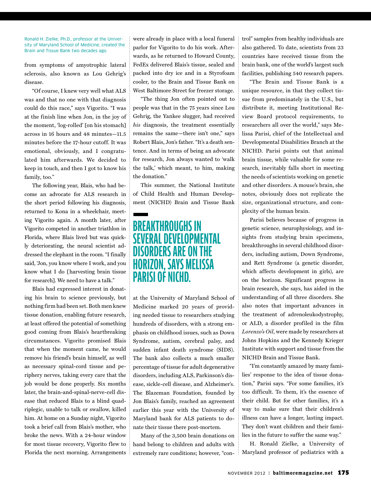Ronald H. Zielke, Ph.D., professor at the University of Maryland School of Medicine, created the Brain and Tissue Bank two decades ago.

from symptoms of amyotrophic lateral sclerosis, also known as Lou Gehrig's disease.

"Of course, I knew very well what ALS was and that no one with that diagnosis could do this race," says Vigorito. "I was at the finish line when Jon, in the joy of the moment, 'log-rolled' [on his stomach] across in 16 hours and 48 minutes—11.5 minutes before the 17-hour cutoff. It was emotional, obviously, and I congratulated him afterwards. We decided to keep in touch, and then I got to know his family, too."

The following year, Blais, who had become an advocate for ALS research in the short period following his diagnosis, returned to Kona in a wheelchair, meeting Vigorito again. A month later, after Vigorito competed in another triathlon in Florida, where Blais lived but was quickly deteriorating, the neural scientist addressed the elephant in the room. "I finally said, 'Jon, you know where I work, and you know what I do [harvesting brain tissue for research]. We need to have a talk."

Blais had expressed interest in donating his brain to science previously, but nothing firm had been set. Both men knew tissue donation, enabling future research, at least offered the potential of something good coming from Blais's heartbreaking circumstances. Vigorito promised Blais that when the moment came, he would remove his friend's brain himself, as well as necessary spinal-cord tissue and periphery nerves, taking every care that the job would be done properly. Six months later, the brain-and-spinal-nerve-cell disease that reduced Blais to a blind quadriplegic, unable to talk or swallow, killed him. At home on a Sunday night, Vigorito took a brief call from Blais's mother, who broke the news. With a 24-hour window for most tissue recovery, Vigorito flew to Florida the next morning. Arrangements

were already in place with a local funeral parlor for Vigorito to do his work. Afterwards, as he returned to Howard County, FedEx delivered Blais's tissue, sealed and packed into dry ice and in a Styrofoam cooler, to the Brain and Tissue Bank on West Baltimore Street for freezer storage.

"The thing Jon often pointed out to people was that in the 75 years since Lou Gehrig, the Yankee slugger, had received *his* diagnosis, the treatment essentially remains the same—there isn't one," says Robert Blais, Jon's father. "It's a death sentence. And in terms of being an advocate for research, Jon always wanted to 'walk the talk,' which meant, to him, making the donation."

This summer, the National Institute of Child Health and Human Development (NICHD) Brain and Tissue Bank

## **Breakthroughs in several developmental disorders are on the Horizon, says Melissa Parisi of NIchd.**

at the University of Maryland School of Medicine marked 20 years of providing needed tissue to researchers studying hundreds of disorders, with a strong emphasis on childhood issues, such as Down Syndrome, autism, cerebral palsy, and sudden infant death syndrome (SIDS). The bank also collects a much smaller percentage of tissue for adult degenerative disorders, including ALS, Parkinson's disease, sickle-cell disease, and Alzheimer's. The Blazeman Foundation, founded by Jon Blais's family, reached an agreement earlier this year with the University of Maryland bank for ALS patients to donate their tissue there post-mortem.

Many of the 3,500 brain donations on hand belong to children and adults with extremely rare conditions; however, "control" samples from healthy individuals are also gathered. To date, scientists from 23 countries have received tissue from the brain bank, one of the world's largest such facilities, publishing 540 research papers.

"The Brain and Tissue Bank is a unique resource, in that they collect tissue from predominately in the U.S., but distribute it, meeting Institutional Review Board protocol requirements, to researchers all over the world," says Melissa Parisi, chief of the Intellectual and Developmental Disabilities Branch at the NICHD. Parisi points out that animal brain tissue, while valuable for some research, inevitably falls short in meeting the needs of scientists working on genetic and other disorders. A mouse's brain, she notes, obviously does not replicate the size, organizational structure, and complexity of the human brain.

Parisi believes because of progress in genetic science, neurophysiology, and insights from studying brain specimens, breakthroughs in several childhood disorders, including autism, Down Syndrome, and Rett Syndrome (a genetic disorder, which affects development in girls), are on the horizon. Significant progress in brain research, she says, has aided in the understanding of all three disorders. She also notes that important advances in the treatment of adrenoleukodystrophy, or ALD, a disorder profiled in the film *Lorenzo's Oil*, were made by researchers at Johns Hopkins and the Kennedy Krieger Institute with support and tissue from the NICHD Brain and Tissue Bank.

"I'm constantly amazed by many families' response to the idea of tissue donation," Parisi says. "For some families, it's too difficult. To them, it's the essence of their child. But for other families, it's a way to make sure that their children's illness can have a longer, lasting impact. They don't want children and their families in the future to suffer the same way."

H. Ronald Zielke, a University of Maryland professor of pediatrics with a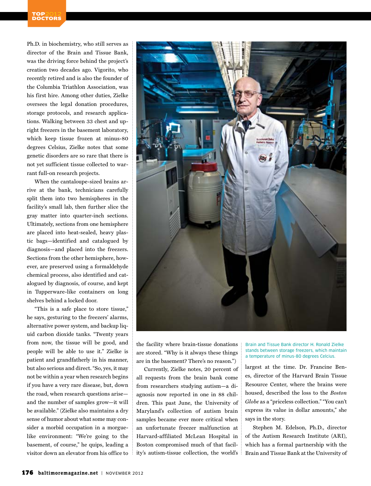Ph.D. in biochemistry, who still serves as director of the Brain and Tissue Bank, was the driving force behind the project's creation two decades ago. Vigorito, who recently retired and is also the founder of the Columbia Triathlon Association, was his first hire. Among other duties, Zielke oversees the legal donation procedures, storage protocols, and research applications. Walking between 33 chest and upright freezers in the basement laboratory, which keep tissue frozen at minus-80 degrees Celsius, Zielke notes that some genetic disorders are so rare that there is not yet sufficient tissue collected to warrant full-on research projects.

When the cantaloupe-sized brains arrive at the bank, technicians carefully split them into two hemispheres in the facility's small lab, then further slice the gray matter into quarter-inch sections. Ultimately, sections from one hemisphere are placed into heat-sealed, heavy plastic bags—identified and catalogued by diagnosis—and placed into the freezers. Sections from the other hemisphere, however, are preserved using a formaldehyde chemical process, also identified and catalogued by diagnosis, of course, and kept in Tupperware-like containers on long shelves behind a locked door.

"This is a safe place to store tissue," he says, gesturing to the freezers' alarms, alternative power system, and backup liquid carbon dioxide tanks. "Twenty years from now, the tissue will be good, and people will be able to use it." Zielke is patient and grandfatherly in his manner, but also serious and direct. "So, yes, it may not be within a year when research begins if you have a very rare disease, but, down the road, when research questions arise and the number of samples grow—it will be available." (Zielke also maintains a dry sense of humor about what some may consider a morbid occupation in a morguelike environment: "We're going to the basement, of course," he quips, leading a visitor down an elevator from his office to



the facility where brain-tissue donations are stored. "Why is it always these things are in the basement? There's no reason.")

Currently, Zielke notes, 20 percent of all requests from the brain bank come from researchers studying autism—a diagnosis now reported in one in 88 children. This past June, the University of Maryland's collection of autism brain samples became ever more critical when an unfortunate freezer malfunction at Harvard-affiliated McLean Hospital in Boston compromised much of that facility's autism-tissue collection, the world's Brain and Tissue Bank director H. Ronald Zielke stands between storage freezers, which maintain a temperature of minus-80 degrees Celcius.

largest at the time. Dr. Francine Benes, director of the Harvard Brain Tissue Resource Center, where the brains were housed, described the loss to the *Boston Globe* as a "priceless collection." "You can't express its value in dollar amounts," she says in the story.

Stephen M. Edelson, Ph.D., director of the Autism Research Institute (ARI), which has a formal partnership with the Brain and Tissue Bank at the University of